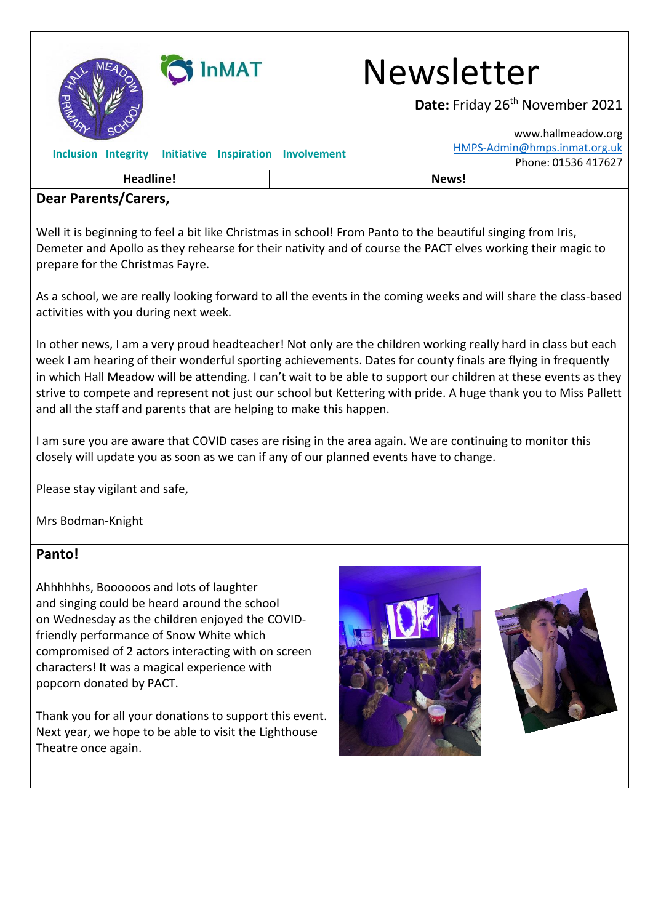

InMAT Newsletter

Date: Friday 26<sup>th</sup> November 2021

[www.hallmeadow.org](http://www.hallmeadow.org/)

| Headline!                                              | News!                                               |
|--------------------------------------------------------|-----------------------------------------------------|
| Inclusion Integrity Initiative Inspiration Involvement | HMPS-Admin@hmps.inmat.org.uk<br>Phone: 01536 417627 |
|                                                        |                                                     |

#### **Dear Parents/Carers,**

Well it is beginning to feel a bit like Christmas in school! From Panto to the beautiful singing from Iris, Demeter and Apollo as they rehearse for their nativity and of course the PACT elves working their magic to prepare for the Christmas Fayre.

As a school, we are really looking forward to all the events in the coming weeks and will share the class-based activities with you during next week.

In other news, I am a very proud headteacher! Not only are the children working really hard in class but each week I am hearing of their wonderful sporting achievements. Dates for county finals are flying in frequently in which Hall Meadow will be attending. I can't wait to be able to support our children at these events as they strive to compete and represent not just our school but Kettering with pride. A huge thank you to Miss Pallett and all the staff and parents that are helping to make this happen.

I am sure you are aware that COVID cases are rising in the area again. We are continuing to monitor this closely will update you as soon as we can if any of our planned events have to change.

Please stay vigilant and safe,

Mrs Bodman-Knight

#### **Panto!**

Ahhhhhhs, Boooooos and lots of laughter and singing could be heard around the school on Wednesday as the children enjoyed the COVIDfriendly performance of Snow White which compromised of 2 actors interacting with on screen characters! It was a magical experience with popcorn donated by PACT.

Thank you for all your donations to support this event. Next year, we hope to be able to visit the Lighthouse Theatre once again.



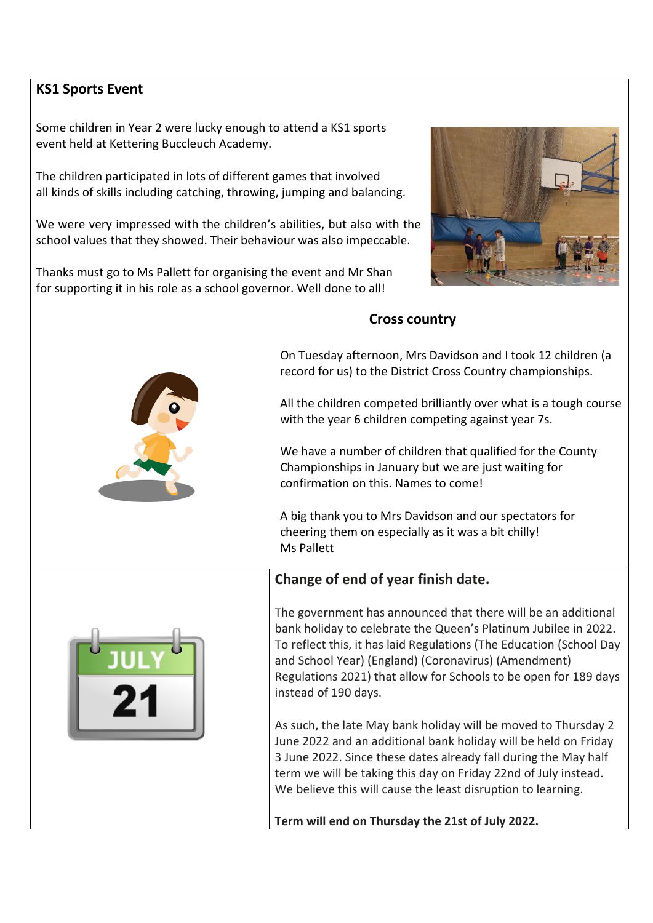## **KS1 Sports Event**

Some children in Year 2 were lucky enough to attend a KS1 sports event held at Kettering Buccleuch Academy.

The children participated in lots of different games that involved all kinds of skills including catching, throwing, jumping and balancing.

We were very impressed with the children's abilities, but also with the school values that they showed. Their behaviour was also impeccable.

Thanks must go to Ms Pallett for organising the event and Mr Shan for supporting it in his role as a school governor. Well done to all!



## **Cross country**

 On Tuesday afternoon, Mrs Davidson and I took 12 children (a record for us) to the District Cross Country championships.

 All the children competed brilliantly over what is a tough course with the year 6 children competing against year 7s.

 We have a number of children that qualified for the County Championships in January but we are just waiting for confirmation on this. Names to come!

 A big thank you to Mrs Davidson and our spectators for cheering them on especially as it was a bit chilly! Ms Pallett



# **Change of end of year finish date.**

The government has announced that there will be an additional bank holiday to celebrate the Queen's Platinum Jubilee in 2022. To reflect this, it has laid Regulations (The Education (School Day and School Year) (England) (Coronavirus) (Amendment) Regulations 2021) that allow for Schools to be open for 189 days instead of 190 days.

As such, the late May bank holiday will be moved to Thursday 2 June 2022 and an additional bank holiday will be held on Friday 3 June 2022. Since these dates already fall during the May half term we will be taking this day on Friday 22nd of July instead. We believe this will cause the least disruption to learning.

**Term will end on Thursday the 21st of July 2022.**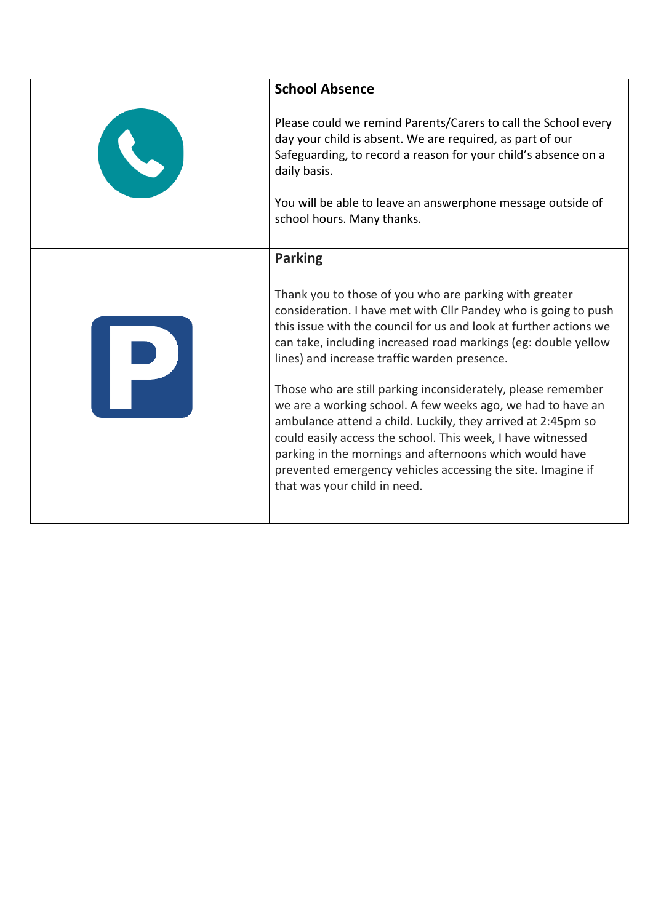| <b>School Absence</b>                                                                                                                                                                                                                                                                                                                                                                                                                                                                                                                                                                                                                                                                                                                    |
|------------------------------------------------------------------------------------------------------------------------------------------------------------------------------------------------------------------------------------------------------------------------------------------------------------------------------------------------------------------------------------------------------------------------------------------------------------------------------------------------------------------------------------------------------------------------------------------------------------------------------------------------------------------------------------------------------------------------------------------|
| Please could we remind Parents/Carers to call the School every<br>day your child is absent. We are required, as part of our<br>Safeguarding, to record a reason for your child's absence on a<br>daily basis.                                                                                                                                                                                                                                                                                                                                                                                                                                                                                                                            |
| You will be able to leave an answerphone message outside of<br>school hours. Many thanks.                                                                                                                                                                                                                                                                                                                                                                                                                                                                                                                                                                                                                                                |
| <b>Parking</b>                                                                                                                                                                                                                                                                                                                                                                                                                                                                                                                                                                                                                                                                                                                           |
| Thank you to those of you who are parking with greater<br>consideration. I have met with Cllr Pandey who is going to push<br>this issue with the council for us and look at further actions we<br>can take, including increased road markings (eg: double yellow<br>lines) and increase traffic warden presence.<br>Those who are still parking inconsiderately, please remember<br>we are a working school. A few weeks ago, we had to have an<br>ambulance attend a child. Luckily, they arrived at 2:45pm so<br>could easily access the school. This week, I have witnessed<br>parking in the mornings and afternoons which would have<br>prevented emergency vehicles accessing the site. Imagine if<br>that was your child in need. |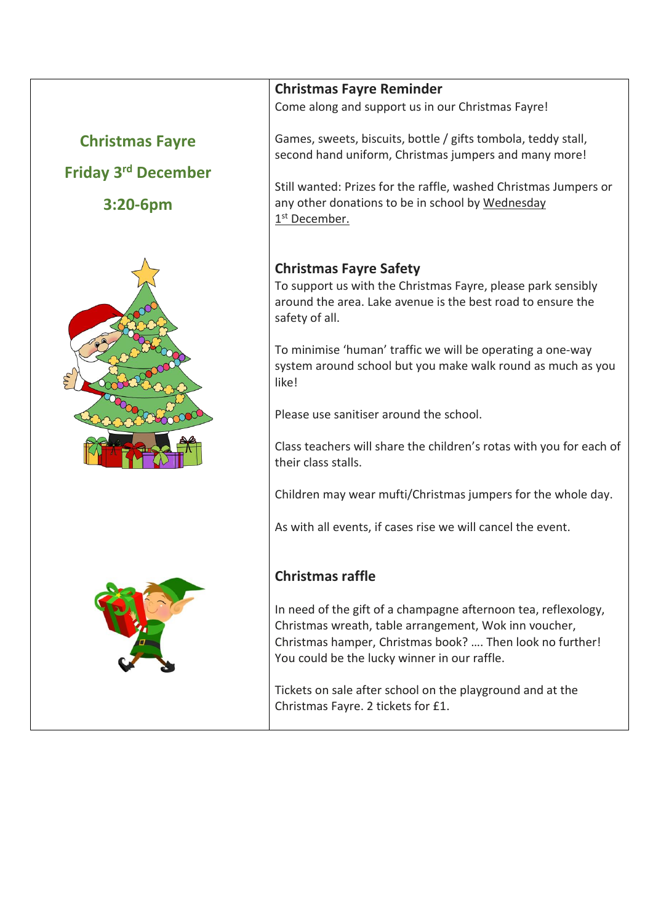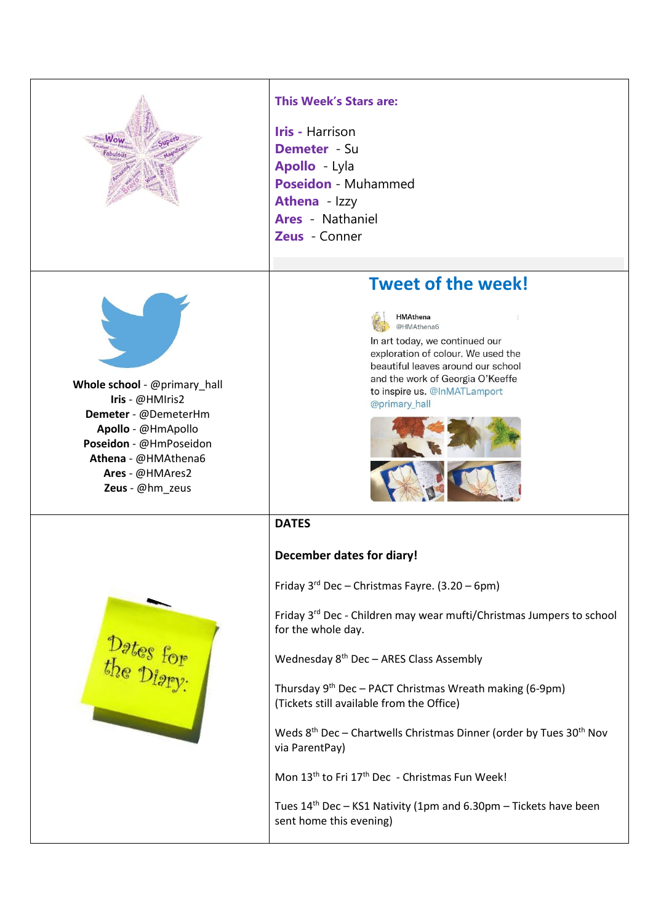